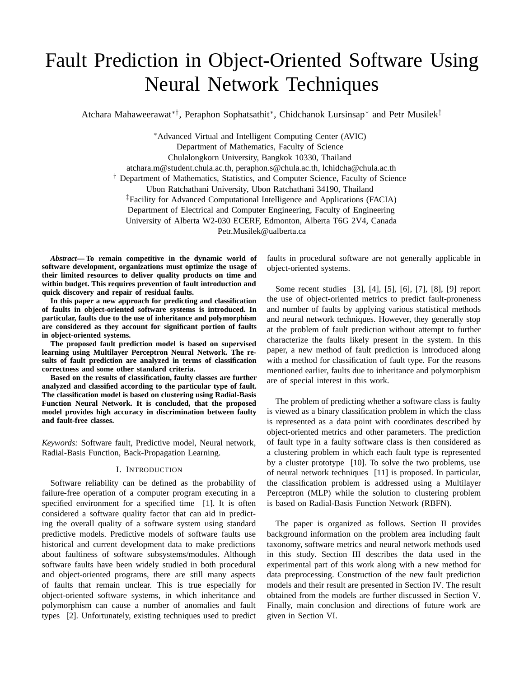# Fault Prediction in Object-Oriented Software Using Neural Network Techniques

Atchara Mahaweerawat∗†, Peraphon Sophatsathit∗, Chidchanok Lursinsap∗ and Petr Musilek‡

∗Advanced Virtual and Intelligent Computing Center (AVIC) Department of Mathematics, Faculty of Science Chulalongkorn University, Bangkok 10330, Thailand atchara.m@student.chula.ac.th, peraphon.s@chula.ac.th, lchidcha@chula.ac.th † Department of Mathematics, Statistics, and Computer Science, Faculty of Science Ubon Ratchathani University, Ubon Ratchathani 34190, Thailand ‡Facility for Advanced Computational Intelligence and Applications (FACIA) Department of Electrical and Computer Engineering, Faculty of Engineering University of Alberta W2-030 ECERF, Edmonton, Alberta T6G 2V4, Canada Petr.Musilek@ualberta.ca

*Abstract***— To remain competitive in the dynamic world of software development, organizations must optimize the usage of their limited resources to deliver quality products on time and within budget. This requires prevention of fault introduction and quick discovery and repair of residual faults.**

**In this paper a new approach for predicting and classification of faults in object-oriented software systems is introduced. In particular, faults due to the use of inheritance and polymorphism are considered as they account for significant portion of faults in object-oriented systems.**

**The proposed fault prediction model is based on supervised learning using Multilayer Perceptron Neural Network. The results of fault prediction are analyzed in terms of classification correctness and some other standard criteria.**

**Based on the results of classification, faulty classes are further analyzed and classified according to the particular type of fault. The classification model is based on clustering using Radial-Basis Function Neural Network. It is concluded, that the proposed model provides high accuracy in discrimination between faulty and fault-free classes.**

*Keywords:* Software fault, Predictive model, Neural network, Radial-Basis Function, Back-Propagation Learning.

## I. INTRODUCTION

Software reliability can be defined as the probability of failure-free operation of a computer program executing in a specified environment for a specified time [1]. It is often considered a software quality factor that can aid in predicting the overall quality of a software system using standard predictive models. Predictive models of software faults use historical and current development data to make predictions about faultiness of software subsystems/modules. Although software faults have been widely studied in both procedural and object-oriented programs, there are still many aspects of faults that remain unclear. This is true especially for object-oriented software systems, in which inheritance and polymorphism can cause a number of anomalies and fault types [2]. Unfortunately, existing techniques used to predict faults in procedural software are not generally applicable in object-oriented systems.

Some recent studies [3], [4], [5], [6], [7], [8], [9] report the use of object-oriented metrics to predict fault-proneness and number of faults by applying various statistical methods and neural network techniques. However, they generally stop at the problem of fault prediction without attempt to further characterize the faults likely present in the system. In this paper, a new method of fault prediction is introduced along with a method for classification of fault type. For the reasons mentioned earlier, faults due to inheritance and polymorphism are of special interest in this work.

The problem of predicting whether a software class is faulty is viewed as a binary classification problem in which the class is represented as a data point with coordinates described by object-oriented metrics and other parameters. The prediction of fault type in a faulty software class is then considered as a clustering problem in which each fault type is represented by a cluster prototype [10]. To solve the two problems, use of neural network techniques [11] is proposed. In particular, the classification problem is addressed using a Multilayer Perceptron (MLP) while the solution to clustering problem is based on Radial-Basis Function Network (RBFN).

The paper is organized as follows. Section II provides background information on the problem area including fault taxonomy, software metrics and neural network methods used in this study. Section III describes the data used in the experimental part of this work along with a new method for data preprocessing. Construction of the new fault prediction models and their result are presented in Section IV. The result obtained from the models are further discussed in Section V. Finally, main conclusion and directions of future work are given in Section VI.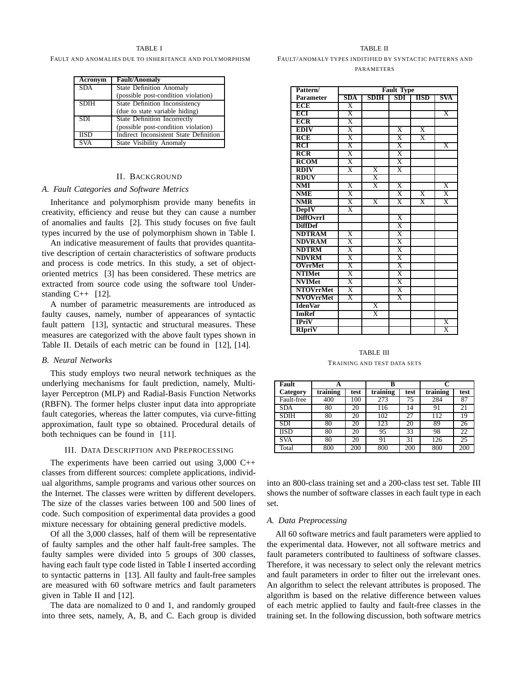#### TABLE I

#### FAULT AND ANOMALIES DUE TO INHERITANCE AND POLYMORPHISM

| Acronym                 | <b>Fault/Anomaly</b>                   |
|-------------------------|----------------------------------------|
| <b>SDA</b>              | <b>State Definition Anomaly</b>        |
|                         | (possible post-condition violation)    |
| <b>SDIH</b>             | <b>State Definition Inconsistency</b>  |
|                         | (due to state variable hiding)         |
| <b>SDI</b>              | <b>State Definition Incorrectly</b>    |
|                         | (possible post-condition violation)    |
| $\overline{\text{HSD}}$ | Indirect Inconsistent State Definition |
|                         | <b>State Visibility Anomaly</b>        |

#### II. BACKGROUND

#### *A. Fault Categories and Software Metrics*

Inheritance and polymorphism provide many benefits in creativity, efficiency and reuse but they can cause a number of anomalies and faults [2]. This study focuses on five fault types incurred by the use of polymorphism shown in Table I.

An indicative measurement of faults that provides quantitative description of certain characteristics of software products and process is code metrics. In this study, a set of objectoriented metrics [3] has been considered. These metrics are extracted from source code using the software tool Understanding  $C_{++}$  [12].

A number of parametric measurements are introduced as faulty causes, namely, number of appearances of syntactic fault pattern [13], syntactic and structural measures. These measures are categorized with the above fault types shown in Table II. Details of each metric can be found in [12], [14].

#### *B. Neural Networks*

This study employs two neural network techniques as the underlying mechanisms for fault prediction, namely, Multilayer Perceptron (MLP) and Radial-Basis Function Networks (RBFN). The former helps cluster input data into appropriate fault categories, whereas the latter computes, via curve-fitting approximation, fault type so obtained. Procedural details of both techniques can be found in [11].

#### III. DATA DESCRIPTION AND PREPROCESSING

The experiments have been carried out using  $3,000$  C++ classes from different sources: complete applications, individual algorithms, sample programs and various other sources on the Internet. The classes were written by different developers. The size of the classes varies between 100 and 500 lines of code. Such composition of experimental data provides a good mixture necessary for obtaining general predictive models.

Of all the 3,000 classes, half of them will be representative of faulty samples and the other half fault-free samples. The faulty samples were divided into 5 groups of 300 classes, having each fault type code listed in Table I inserted according to syntactic patterns in [13]. All faulty and fault-free samples are measured with 60 software metrics and fault parameters given in Table II and [12].

The data are nomalized to 0 and 1, and randomly grouped into three sets, namely, A, B, and C. Each group is divided

## TABLE II FAULT/ANOMALY TYPES INDITIFIED BY SYNTACTIC PATTERNS AND **PARAMETERS**

| Pattern/                |                         |                         | <b>Fault Type</b>       |                         |                         |
|-------------------------|-------------------------|-------------------------|-------------------------|-------------------------|-------------------------|
| <b>Parameter</b>        | <b>SDA</b>              | SDIH                    | SDI                     | <b>IISD</b>             | SVA                     |
| ECE                     | $\overline{\mathrm{x}}$ |                         |                         |                         |                         |
| ECI                     | $\overline{\text{X}}$   |                         |                         |                         | $\overline{\mathbf{X}}$ |
| <b>ECR</b>              | X                       |                         |                         |                         |                         |
| <b>EDIV</b>             | Χ                       |                         | $\overline{\text{X}}$   | $\overline{\text{X}}$   |                         |
| <b>RCE</b>              | X                       |                         | $\overline{\text{X}}$   | $\overline{X}$          |                         |
| $\overline{RCI}$        | $\overline{\text{X}}$   |                         | $\overline{\text{X}}$   |                         | $\overline{X}$          |
| $\overline{RCR}$        | $\overline{\mathrm{X}}$ |                         | $\overline{\mathrm{X}}$ |                         |                         |
| <b>RCOM</b>             | $\overline{\text{X}}$   |                         | $\overline{\mathrm{X}}$ |                         |                         |
| <b>RDIV</b>             | $\overline{\mathrm{x}}$ | $\overline{X}$          | $\overline{\mathbf{x}}$ |                         |                         |
| <b>RDUV</b>             |                         | $\overline{\text{X}}$   |                         |                         |                         |
| $\overline{\text{NMI}}$ | $\overline{\mathrm{X}}$ | $\overline{\mathbf{x}}$ | $\overline{X}$          |                         | $\overline{\mathrm{X}}$ |
| NME                     | $\overline{\text{X}}$   |                         | $\overline{X}$          | $\overline{X}$          | $\overline{X}$          |
| NMR                     | $\overline{\mathrm{X}}$ | X                       | $\overline{X}$          | $\overline{\mathbf{x}}$ | X                       |
| <b>DepIV</b>            | $\overline{\mathrm{x}}$ |                         |                         |                         |                         |
| <b>DiffOvrrI</b>        |                         |                         | $\overline{\mathrm{X}}$ |                         |                         |
| <b>DiffDef</b>          |                         |                         | $\overline{\text{X}}$   |                         |                         |
| <b>NDTRAM</b>           | $\overline{\text{X}}$   |                         | Χ                       |                         |                         |
| <b>NDVRAM</b>           | $\overline{\text{X}}$   |                         | X                       |                         |                         |
| <b>NDTRM</b>            | $\overline{\text{X}}$   |                         | $\overline{\text{X}}$   |                         |                         |
| <b>NDVRM</b>            | $\overline{\text{X}}$   |                         | $\overline{\text{X}}$   |                         |                         |
| <b>OVrrMet</b>          | $\overline{\text{X}}$   |                         | $\overline{\mathrm{X}}$ |                         |                         |
| <b>NTIMet</b>           | $\overline{\text{X}}$   |                         | $\overline{\text{X}}$   |                         |                         |
| <b>NVIMet</b>           | $\overline{\text{X}}$   |                         | Χ                       |                         |                         |
| <b>NTOVrrMet</b>        | $\overline{\mathbf{x}}$ |                         | $\overline{\text{X}}$   |                         |                         |
| <b>NVOVrrMet</b>        | $\overline{\text{X}}$   |                         | $\overline{\text{X}}$   |                         |                         |
| <b>IdenVar</b>          |                         | $\overline{\mathbf{x}}$ |                         |                         |                         |
| <b>ImRef</b>            |                         | $\overline{\text{X}}$   |                         |                         |                         |
| <b>IPriV</b>            |                         |                         |                         |                         | $\overline{\mathrm{x}}$ |
| RIpriV                  |                         |                         |                         |                         | $\overline{\text{X}}$   |

# TABLE III TRAINING AND TEST DATA SETS

| Fault       | A        |      | B        |      |          |      |
|-------------|----------|------|----------|------|----------|------|
| Category    | training | test | training | test | training | test |
| Fault-free  | 400      | 100  | 273      | 75   | 284      | 87   |
| <b>SDA</b>  | 80       | 20   | 116      | 14   | 91       | 21   |
| <b>SDIH</b> | 80       | 20   | 102      | 27   | 112      | 19   |
| SDI         | 80       | 20   | 123      | 20   | 89       | 26   |
| <b>IISD</b> | 80       | 20   | 95       | 33   | 98       | 22   |
| <b>SVA</b>  | 80       | 20   | 91       | 31   | 126      | 25   |
| Total       | 800      | 200  | 800      | 200  | 800      | 200  |

into an 800-class training set and a 200-class test set. Table III shows the number of software classes in each fault type in each set.

#### *A. Data Preprocessing*

All 60 software metrics and fault parameters were applied to the experimental data. However, not all software metrics and fault parameters contributed to faultiness of software classes. Therefore, it was necessary to select only the relevant metrics and fault parameters in order to filter out the irrelevant ones. An algorithm to select the relevant attributes is proposed. The algorithm is based on the relative difference between values of each metric applied to faulty and fault-free classes in the training set. In the following discussion, both software metrics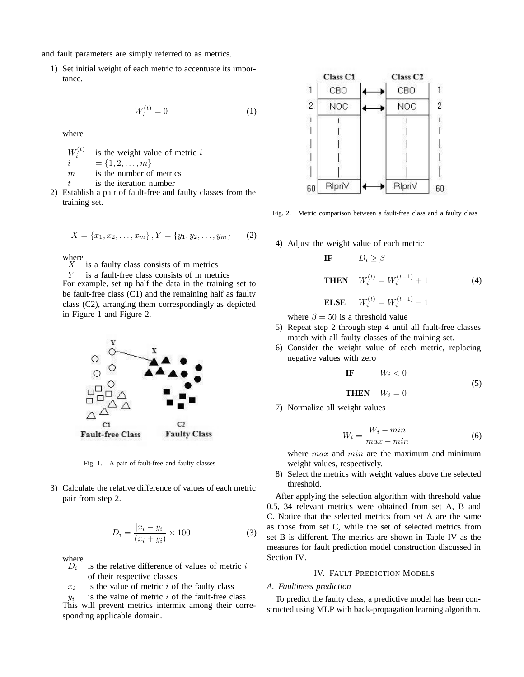and fault parameters are simply referred to as metrics.

1) Set initial weight of each metric to accentuate its importance.

$$
W_i^{(t)} = 0 \tag{1}
$$

where

 $W_{\cdot}^{(t)}$ *i* is the weight value of metric *i*  $i = \{1, 2, \ldots, m\}$  $m$  is the number of metrics  $t$  is the iteration number

2) Establish a pair of fault-free and faulty classes from the training set.

$$
X = \{x_1, x_2, \dots, x_m\}, Y = \{y_1, y_2, \dots, y_m\}
$$
 (2)

where  $X$ 

is a faulty class consists of m metrics

Y is a fault-free class consists of m metrics For example, set up half the data in the training set to

be fault-free class (C1) and the remaining half as faulty class (C2), arranging them correspondingly as depicted in Figure 1 and Figure 2.



Fig. 1. A pair of fault-free and faulty classes

3) Calculate the relative difference of values of each metric pair from step 2.

$$
D_i = \frac{|x_i - y_i|}{(x_i + y_i)} \times 100
$$
 (3)

where  $D_i$ 

- is the relative difference of values of metric  $i$ of their respective classes
- $x_i$  is the value of metric i of the faulty class

 $y_i$  is the value of metric i of the fault-free class This will prevent metrics intermix among their corresponding applicable domain.



Fig. 2. Metric comparison between a fault-free class and a faulty class

4) Adjust the weight value of each metric

**IF**

\n
$$
D_i \geq \beta
$$
\n**THEN**

\n
$$
W_i^{(t)} = W_i^{(t-1)} + 1
$$
\n**ELSE**

\n
$$
W_i^{(t)} = W_i^{(t-1)} - 1
$$
\n(4)

where  $\beta = 50$  is a threshold value

- 5) Repeat step 2 through step 4 until all fault-free classes match with all faulty classes of the training set.
- 6) Consider the weight value of each metric, replacing negative values with zero

**IF** 
$$
W_i < 0
$$
  
**THEN**  $W_i = 0$  (5)

7) Normalize all weight values

$$
W_i = \frac{W_i - min}{max - min} \tag{6}
$$

where  $max$  and  $min$  are the maximum and minimum weight values, respectively.

8) Select the metrics with weight values above the selected threshold.

After applying the selection algorithm with threshold value 0.5, 34 relevant metrics were obtained from set A, B and C. Notice that the selected metrics from set A are the same as those from set C, while the set of selected metrics from set B is different. The metrics are shown in Table IV as the measures for fault prediction model construction discussed in Section IV.

# IV. FAULT PREDICTION MODELS

## *A. Faultiness prediction*

To predict the faulty class, a predictive model has been constructed using MLP with back-propagation learning algorithm.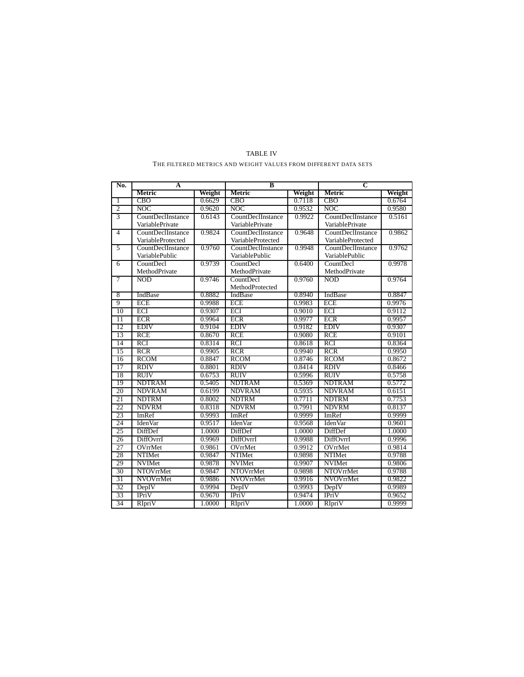| No.             | A                 |        | B                 |        | C                 |        |
|-----------------|-------------------|--------|-------------------|--------|-------------------|--------|
|                 | Metric            | Weight | Metric            | Weight | Metric            | Weight |
| 1               | <b>CBO</b>        | 0.6629 | <b>CBO</b>        | 0.7118 | <b>CBO</b>        | 0.6764 |
| $\overline{2}$  | <b>NOC</b>        | 0.9620 | <b>NOC</b>        | 0.9532 | <b>NOC</b>        | 0.9580 |
| $\overline{3}$  | CountDeclInstance | 0.6143 | CountDeclInstance | 0.9922 | CountDeclInstance | 0.5161 |
|                 | VariablePrivate   |        | VariablePrivate   |        | VariablePrivate   |        |
| $\overline{4}$  | CountDeclInstance | 0.9824 | CountDeclInstance | 0.9648 | CountDeclInstance | 0.9862 |
|                 | VariableProtected |        | VariableProtected |        | VariableProtected |        |
| 5               | CountDeclInstance | 0.9760 | CountDeclInstance | 0.9948 | CountDeclInstance | 0.9762 |
|                 | VariablePublic    |        | VariablePublic    |        | VariablePublic    |        |
| 6               | CountDecl         | 0.9739 | CountDecl         | 0.6400 | CountDecl         | 0.9978 |
|                 | MethodPrivate     |        | MethodPrivate     |        | MethodPrivate     |        |
| 7               | <b>NOD</b>        | 0.9746 | CountDecl         | 0.9760 | <b>NOD</b>        | 0.9764 |
|                 |                   |        | MethodProtected   |        |                   |        |
| 8               | IndBase           | 0.8882 | IndBase           | 0.8940 | IndBase           | 0.8847 |
| 9               | <b>ECE</b>        | 0.9988 | <b>ECE</b>        | 0.9983 | <b>ECE</b>        | 0.9976 |
| 10              | ECI               | 0.9307 | ECI               | 0.9010 | ECI               | 0.9112 |
| $\overline{11}$ | <b>ECR</b>        | 0.9964 | <b>ECR</b>        | 0.9977 | <b>ECR</b>        | 0.9957 |
| 12              | <b>EDIV</b>       | 0.9104 | <b>EDIV</b>       | 0.9182 | <b>EDIV</b>       | 0.9307 |
| 13              | <b>RCE</b>        | 0.8670 | <b>RCE</b>        | 0.9080 | <b>RCE</b>        | 0.9101 |
| 14              | <b>RCI</b>        | 0.8314 | <b>RCI</b>        | 0.8618 | <b>RCI</b>        | 0.8364 |
| 15              | <b>RCR</b>        | 0.9905 | RCR               | 0.9940 | RCR               | 0.9950 |
| 16              | <b>RCOM</b>       | 0.8847 | <b>RCOM</b>       | 0.8746 | <b>RCOM</b>       | 0.8672 |
| $\overline{17}$ | <b>RDIV</b>       | 0.8801 | <b>RDIV</b>       | 0.8414 | <b>RDIV</b>       | 0.8466 |
| 18              | <b>RUIV</b>       | 0.6753 | <b>RUIV</b>       | 0.5996 | <b>RUIV</b>       | 0.5758 |
| 19              | <b>NDTRAM</b>     | 0.5405 | <b>NDTRAM</b>     | 0.5369 | <b>NDTRAM</b>     | 0.5772 |
| 20              | <b>NDVRAM</b>     | 0.6199 | <b>NDVRAM</b>     | 0.5935 | <b>NDVRAM</b>     | 0.6151 |
| 21              | <b>NDTRM</b>      | 0.8002 | <b>NDTRM</b>      | 0.7711 | <b>NDTRM</b>      | 0.7753 |
| 22              | <b>NDVRM</b>      | 0.8318 | <b>NDVRM</b>      | 0.7991 | <b>NDVRM</b>      | 0.8137 |
| 23              | ImRef             | 0.9993 | ImRef             | 0.9999 | ImRef             | 0.9999 |
| 24              | <b>IdenVar</b>    | 0.9517 | <b>IdenVar</b>    | 0.9568 | <b>Iden</b> Var   | 0.9601 |
| 25              | DiffDef           | 1.0000 | DiffDef           | 1.0000 | <b>DiffDef</b>    | 1.0000 |
| 26              | DiffOvrrI         | 0.9969 | DiffOvrrI         | 0.9988 | DiffOvrrI         | 0.9996 |
| 27              | OVrrMet           | 0.9861 | OVrrMet           | 0.9912 | OVrrMet           | 0.9814 |
| 28              | <b>NTIMet</b>     | 0.9847 | NTIMet            | 0.9898 | <b>NTIMet</b>     | 0.9788 |
| 29              | <b>NVIMet</b>     | 0.9878 | <b>NVIMet</b>     | 0.9907 | <b>NVIMet</b>     | 0.9806 |
| 30              | NTOVrrMet         | 0.9847 | NTOVrrMet         | 0.9898 | <b>NTOVrrMet</b>  | 0.9788 |
| 31              | <b>NVOVrrMet</b>  | 0.9886 | <b>NVOVrrMet</b>  | 0.9916 | <b>NVOVrrMet</b>  | 0.9822 |
| 32              | DepIV             | 0.9994 | DepIV             | 0.9993 | DepIV             | 0.9989 |
| 33              | IPriV             | 0.9670 | IPriV             | 0.9474 | IPriV             | 0.9652 |
| 34              | RIpriV            | 1.0000 | RIpriV            | 1.0000 | RIpriV            | 0.9999 |

# TABLE IV THE FILTERED METRICS AND WEIGHT VALUES FROM DIFFERENT DATA SETS

 $\overline{a}$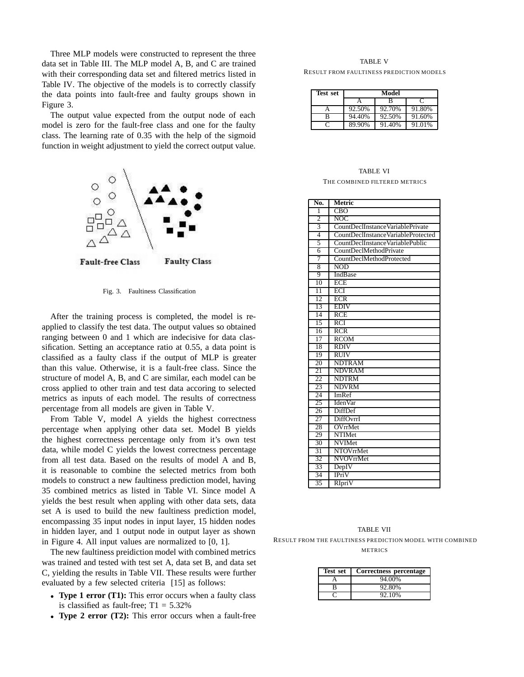Three MLP models were constructed to represent the three data set in Table III. The MLP model A, B, and C are trained with their corresponding data set and filtered metrics listed in Table IV. The objective of the models is to correctly classify the data points into fault-free and faulty groups shown in Figure 3.

The output value expected from the output node of each model is zero for the fault-free class and one for the faulty class. The learning rate of 0.35 with the help of the sigmoid function in weight adjustment to yield the correct output value.



Fig. 3. Faultiness Classification

After the training process is completed, the model is reapplied to classify the test data. The output values so obtained ranging between 0 and 1 which are indecisive for data classification. Setting an acceptance ratio at 0.55, a data point is classified as a faulty class if the output of MLP is greater than this value. Otherwise, it is a fault-free class. Since the structure of model A, B, and C are similar, each model can be cross applied to other train and test data accoring to selected metrics as inputs of each model. The results of correctness percentage from all models are given in Table V.

From Table V, model A yields the highest correctness percentage when applying other data set. Model B yields the highest correctness percentage only from it's own test data, while model C yields the lowest correctness percentage from all test data. Based on the results of model A and B, it is reasonable to combine the selected metrics from both models to construct a new faultiness prediction model, having 35 combined metrics as listed in Table VI. Since model A yields the best result when appling with other data sets, data set A is used to build the new faultiness prediction model, encompassing 35 input nodes in input layer, 15 hidden nodes in hidden layer, and 1 output node in output layer as shown in Figure 4. All input values are normalized to [0, 1].

The new faultiness preidiction model with combined metrics was trained and tested with test set A, data set B, and data set C, yielding the results in Table VII. These results were further evaluated by a few selected criteria [15] as follows:

- **Type 1 error (T1):** This error occurs when a faulty class is classified as fault-free;  $T1 = 5.32\%$
- *•* **Type 2 error (T2):** This error occurs when a fault-free

## TABLE V RESULT FROM FAULTINESS PREDICTION MODELS

| <b>Test set</b> | Model  |        |        |  |
|-----------------|--------|--------|--------|--|
|                 |        | в      |        |  |
|                 | 92.50% | 92.70% | 91.80% |  |
| в               | 94.40% | 92.50% | 91.60% |  |
|                 | 89.90% | 91.40% | 91.01% |  |

# TABLE VI THE COMBINED FILTERED METRICS

| No.             | Metric                             |
|-----------------|------------------------------------|
| 1               | <b>CBO</b>                         |
| $\overline{2}$  | NOC.                               |
| 3               | CountDeclInstanceVariablePrivate   |
| 4               | CountDeclInstanceVariableProtected |
| 5               | CountDeclInstanceVariablePublic    |
| 6               | <b>CountDeclMethodPrivate</b>      |
| 7               | CountDeclMethodProtected           |
| 8               | <b>NOD</b>                         |
| 9               | IndBase                            |
| $\overline{10}$ | <b>ECE</b>                         |
| $\overline{11}$ | ECI                                |
| 12              | <b>ECR</b>                         |
| 13              | <b>EDIV</b>                        |
| 14              | RCE                                |
| $\overline{15}$ | <b>RCI</b>                         |
| 16              | RCR                                |
| 17              | <b>RCOM</b>                        |
| 18              | <b>RDIV</b>                        |
| 19              | <b>RUIV</b>                        |
| 20              | <b>NDTRAM</b>                      |
| 21              | <b>NDVRAM</b>                      |
| 22              | <b>NDTRM</b>                       |
| 23              | <b>NDVRM</b>                       |
| 24              | ImRef                              |
| 25              | <b>IdenVar</b>                     |
| 26              | <b>DiffDef</b>                     |
| 27              | DiffOvrrI                          |
| 28              | OVrrMet                            |
| 29              | <b>NTIMet</b>                      |
| 30              | <b>NVIMet</b>                      |
| 31              | <b>NTOVrrMet</b>                   |
| 32              | NVOVrrMet                          |
| 33              | DepIV                              |
| 34              | <b>IPriV</b>                       |
| 35              | RIpriV                             |

TABLE VII RESULT FROM THE FAULTINESS PREDICTION MODEL WITH COMBINED METRICS

| Test set | Correctness percentage |
|----------|------------------------|
|          | 94.00%                 |
| R        | 92.80%                 |
|          | 92.10%                 |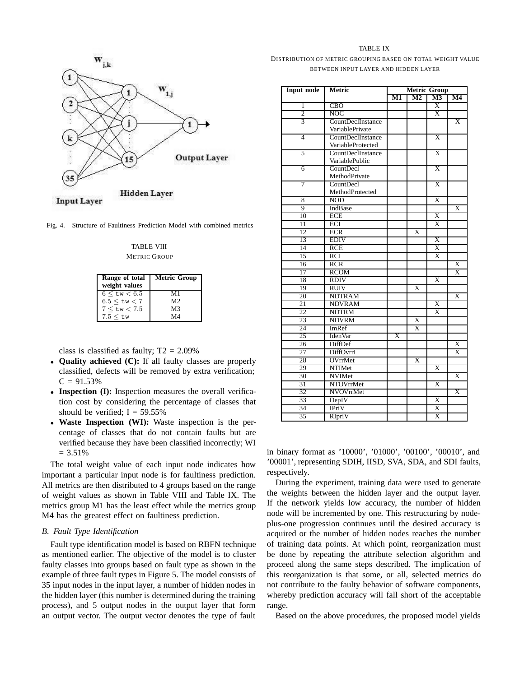

Fig. 4. Structure of Faultiness Prediction Model with combined metrics

TABLE VIII **METRIC GROUP** 

| Range of total<br>weight values | <b>Metric Group</b> |
|---------------------------------|---------------------|
| $6 \leq t w \leq 6.5$           | M1                  |
| $6.5 \leq$ tw $< 7$             | M2                  |
| 7 < tw < 7.5                    | M3                  |
| $7.5 < t$ w                     | M4                  |

class is classified as faulty;  $T2 = 2.09\%$ 

- *•* **Quality achieved (C):** If all faulty classes are properly classified, defects will be removed by extra verification;  $C = 91.53%$
- *•* **Inspection (I):** Inspection measures the overall verification cost by considering the percentage of classes that should be verified;  $I = 59.55\%$
- *•* **Waste Inspection (WI):** Waste inspection is the percentage of classes that do not contain faults but are verified because they have been classified incorrectly; WI  $= 3.51\%$

The total weight value of each input node indicates how important a particular input node is for faultiness prediction. All metrics are then distributed to 4 groups based on the range of weight values as shown in Table VIII and Table IX. The metrics group M1 has the least effect while the metrics group M4 has the greatest effect on faultiness prediction.

## *B. Fault Type Identification*

Fault type identification model is based on RBFN technique as mentioned earlier. The objective of the model is to cluster faulty classes into groups based on fault type as shown in the example of three fault types in Figure 5. The model consists of 35 input nodes in the input layer, a number of hidden nodes in the hidden layer (this number is determined during the training process), and 5 output nodes in the output layer that form an output vector. The output vector denotes the type of fault

| TA BL |  |
|-------|--|
|-------|--|

# DISTRIBUTION OF METRIC GROUPING BASED ON TOTAL WEIGHT VALUE BETWEEN INPUT LAYER AND HIDDEN LAYER

| <b>Input node</b> | Metric            | <b>Metric Group</b>     |                         |                         |                         |
|-------------------|-------------------|-------------------------|-------------------------|-------------------------|-------------------------|
|                   |                   | M1                      | $\mathbf{M2}$           |                         | M4                      |
| 1                 | <b>CBO</b>        |                         |                         | Χ                       |                         |
| $\overline{c}$    | <b>NOC</b>        |                         |                         | $\overline{\text{X}}$   |                         |
| 3                 | CountDeclInstance |                         |                         |                         | $\overline{\mathrm{X}}$ |
|                   | VariablePrivate   |                         |                         |                         |                         |
| 4                 | CountDeclInstance |                         |                         | $\overline{\text{X}}$   |                         |
|                   | VariableProtected |                         |                         |                         |                         |
| 5                 | CountDeclInstance |                         |                         | Χ                       |                         |
|                   | VariablePublic    |                         |                         |                         |                         |
| 6                 | CountDecl         |                         |                         | $\overline{\mathrm{X}}$ |                         |
|                   | MethodPrivate     |                         |                         |                         |                         |
| 7                 | CountDecl         |                         |                         | $\overline{\mathbf{X}}$ |                         |
|                   | MethodProtected   |                         |                         |                         |                         |
| 8                 | <b>NOD</b>        |                         |                         | $\overline{\text{X}}$   |                         |
| 9                 | IndBase           |                         |                         |                         | $\overline{\text{X}}$   |
| 10                | ECE               |                         |                         | X                       |                         |
| 11                | ECI               |                         |                         | $\overline{\text{X}}$   |                         |
| 12                | ECR               |                         | X                       |                         |                         |
| 13                | <b>EDIV</b>       |                         |                         | X                       |                         |
| 14                | <b>RCE</b>        |                         |                         | Χ                       |                         |
| 15                | RCI               |                         |                         | $\overline{\mathrm{X}}$ |                         |
| 16                | <b>RCR</b>        |                         |                         |                         | $\overline{\mathrm{X}}$ |
| 17                | <b>RCOM</b>       |                         |                         |                         | $\overline{\text{X}}$   |
| 18                | <b>RDIV</b>       |                         |                         | $\overline{\text{X}}$   |                         |
| 19                | <b>RUIV</b>       |                         | $\overline{\text{X}}$   |                         |                         |
| 20                | <b>NDTRAM</b>     |                         |                         |                         | X                       |
| 21                | <b>NDVRAM</b>     |                         |                         | $\overline{\text{X}}$   |                         |
| 22                | <b>NDTRM</b>      |                         |                         | $\overline{\mathrm{x}}$ |                         |
| 23                | <b>NDVRM</b>      |                         | $\overline{\mathrm{X}}$ |                         |                         |
| 24                | ImRef             |                         | Χ                       |                         |                         |
| 25                | <b>IdenVar</b>    | $\overline{\mathrm{X}}$ |                         |                         |                         |
| 26                | DiffDef           |                         |                         |                         | $\overline{\text{X}}$   |
| 27                | DiffOvrrI         |                         |                         |                         | $\overline{\mathrm{X}}$ |
| 28                | OVrrMet           |                         | $\overline{\text{X}}$   |                         |                         |
| 29                | NTIMet            |                         |                         | $\overline{\text{X}}$   |                         |
| 30                | <b>NVIMet</b>     |                         |                         |                         | $\overline{\text{X}}$   |
| 31                | <b>NTOVrrMet</b>  |                         |                         | $\overline{\text{X}}$   |                         |
| 32                | NVOVrrMet         |                         |                         |                         | $\overline{\mathrm{X}}$ |
| 33                | DepIV             |                         |                         | $\overline{\mathrm{X}}$ |                         |
| 34                | IPriV             |                         |                         | Χ                       |                         |
| 35                | RIpriV            |                         |                         | $\overline{\mathrm{X}}$ |                         |

in binary format as '10000', '01000', '00100', '00010', and '00001', representing SDIH, IISD, SVA, SDA, and SDI faults, respectively.

During the experiment, training data were used to generate the weights between the hidden layer and the output layer. If the network yields low accuracy, the number of hidden node will be incremented by one. This restructuring by nodeplus-one progression continues until the desired accuracy is acquired or the number of hidden nodes reaches the number of training data points. At which point, reorganization must be done by repeating the attribute selection algorithm and proceed along the same steps described. The implication of this reorganization is that some, or all, selected metrics do not contribute to the faulty behavior of software components, whereby prediction accuracy will fall short of the acceptable range.

Based on the above procedures, the proposed model yields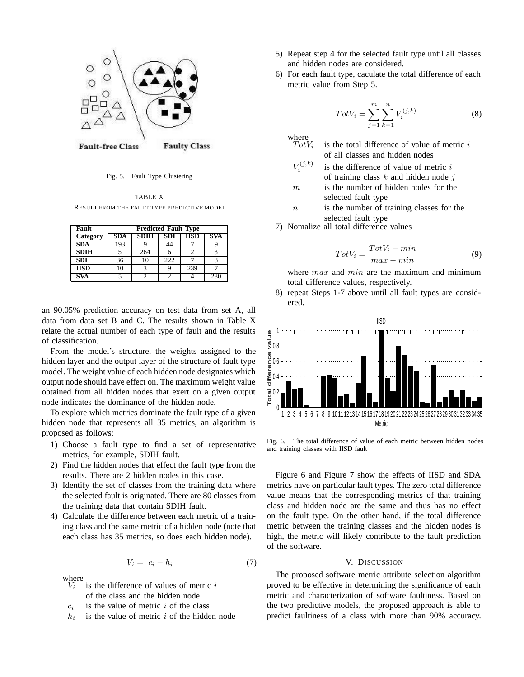

Fig. 5. Fault Type Clustering

TABLE X RESULT FROM THE FAULT TYPE PREDICTIVE MODEL

| Fault       | <b>Predicted Fault Type</b> |                           |     |     |     |  |  |  |  |
|-------------|-----------------------------|---------------------------|-----|-----|-----|--|--|--|--|
| Category    | SDA                         | HSD<br>SDI<br>SDĪH<br>5VA |     |     |     |  |  |  |  |
| <b>SDA</b>  | 193                         |                           |     |     |     |  |  |  |  |
| <b>SDIH</b> |                             | 264                       |     |     |     |  |  |  |  |
| <b>SDI</b>  | 36                          | 10                        | 222 |     |     |  |  |  |  |
| <b>IISD</b> | 10                          |                           |     | 239 |     |  |  |  |  |
| <b>SVA</b>  |                             |                           |     |     | 280 |  |  |  |  |

an 90.05% prediction accuracy on test data from set A, all data from data set B and C. The results shown in Table X relate the actual number of each type of fault and the results of classification.

From the model's structure, the weights assigned to the hidden layer and the output layer of the structure of fault type model. The weight value of each hidden node designates which output node should have effect on. The maximum weight value obtained from all hidden nodes that exert on a given output node indicates the dominance of the hidden node.

To explore which metrics dominate the fault type of a given hidden node that represents all 35 metrics, an algorithm is proposed as follows:

- 1) Choose a fault type to find a set of representative metrics, for example, SDIH fault.
- 2) Find the hidden nodes that effect the fault type from the results. There are 2 hidden nodes in this case.
- 3) Identify the set of classes from the training data where the selected fault is originated. There are 80 classes from the training data that contain SDIH fault.
- 4) Calculate the difference between each metric of a training class and the same metric of a hidden node (note that each class has 35 metrics, so does each hidden node).

$$
V_i = |c_i - h_i| \tag{7}
$$

where  $V_i$ 

- is the difference of values of metric  $i$ of the class and the hidden node
- $c_i$  is the value of metric i of the class
- $h_i$  is the value of metric i of the hidden node
- 5) Repeat step 4 for the selected fault type until all classes and hidden nodes are considered.
- 6) For each fault type, caculate the total difference of each metric value from Step 5.

$$
TotV_i = \sum_{j=1}^{m} \sum_{k=1}^{n} V_i^{(j,k)}
$$
 (8)

where  $TotV$ 

- is the total difference of value of metric  $i$ of all classes and hidden nodes
- $V^{(j,k)}$ *<sup>i</sup>* is the difference of value of metric i of training class  $k$  and hidden node  $j$
- $m$  is the number of hidden nodes for the selected fault type
- $n$  is the number of training classes for the selected fault type
- 7) Nomalize all total difference values

$$
TotV_i = \frac{TotV_i - min}{max - min}
$$
(9)

where  $max$  and  $min$  are the maximum and minimum total difference values, respectively.

8) repeat Steps 1-7 above until all fault types are considered.



Fig. 6. The total difference of value of each metric between hidden nodes and training classes with IISD fault

Figure 6 and Figure 7 show the effects of IISD and SDA metrics have on particular fault types. The zero total difference value means that the corresponding metrics of that training class and hidden node are the same and thus has no effect on the fault type. On the other hand, if the total difference metric between the training classes and the hidden nodes is high, the metric will likely contribute to the fault prediction of the software.

## V. DISCUSSION

The proposed software metric attribute selection algorithm proved to be effective in determining the significance of each metric and characterization of software faultiness. Based on the two predictive models, the proposed approach is able to predict faultiness of a class with more than 90% accuracy.